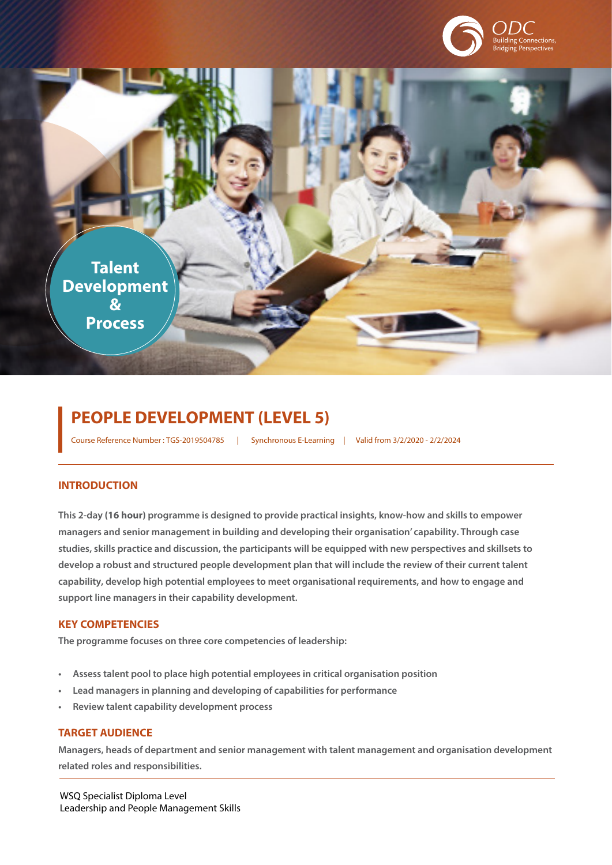

**Talent Development & Process**

# **PEOPLE DEVELOPMENT (LEVEL 5)**

Course Reference Number : TGS-2019504785 | Synchronous E-Learning | Valid from 3/2/2020 - 2/2/2024

## **INTRODUCTION**

**This 2-day (16 hour) programme is designed to provide practical insights, know-how and skills to empower managers and senior management in building and developing their organisation' capability. Through case studies, skills practice and discussion, the participants will be equipped with new perspectives and skillsets to develop a robust and structured people development plan that will include the review of their current talent capability, develop high potential employees to meet organisational requirements, and how to engage and support line managers in their capability development.** 

# **KEY COMPETENCIES**

**The programme focuses on three core competencies of leadership:** 

- **• Assess talent pool to place high potential employees in critical organisation position**
- **• Lead managers in planning and developing of capabilities for performance**
- **• Review talent capability development process**

#### **TARGET AUDIENCE**

**Managers, heads of department and senior management with talent management and organisation development related roles and responsibilities.**

WSQ Specialist Diploma Level Leadership and People Management Skills